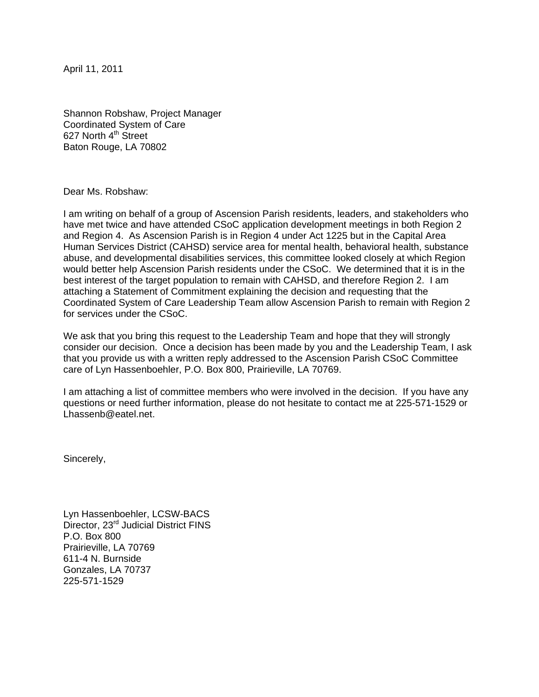April 11, 2011

Shannon Robshaw, Project Manager Coordinated System of Care 627 North 4<sup>th</sup> Street Baton Rouge, LA 70802

Dear Ms. Robshaw:

I am writing on behalf of a group of Ascension Parish residents, leaders, and stakeholders who have met twice and have attended CSoC application development meetings in both Region 2 and Region 4. As Ascension Parish is in Region 4 under Act 1225 but in the Capital Area Human Services District (CAHSD) service area for mental health, behavioral health, substance abuse, and developmental disabilities services, this committee looked closely at which Region would better help Ascension Parish residents under the CSoC. We determined that it is in the best interest of the target population to remain with CAHSD, and therefore Region 2. I am attaching a Statement of Commitment explaining the decision and requesting that the Coordinated System of Care Leadership Team allow Ascension Parish to remain with Region 2 for services under the CSoC.

We ask that you bring this request to the Leadership Team and hope that they will strongly consider our decision. Once a decision has been made by you and the Leadership Team, I ask that you provide us with a written reply addressed to the Ascension Parish CSoC Committee care of Lyn Hassenboehler, P.O. Box 800, Prairieville, LA 70769.

I am attaching a list of committee members who were involved in the decision. If you have any questions or need further information, please do not hesitate to contact me at 225-571-1529 or Lhassenb@eatel.net.

Sincerely,

Lyn Hassenboehler, LCSW-BACS Director, 23<sup>rd</sup> Judicial District FINS P.O. Box 800 Prairieville, LA 70769 611-4 N. Burnside Gonzales, LA 70737 225-571-1529